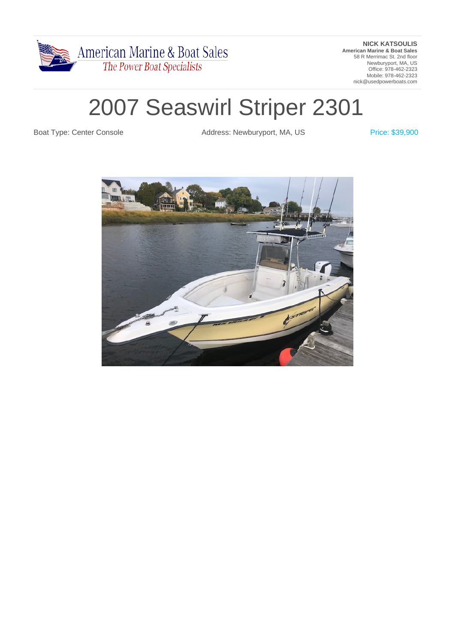

**NICK KATSOULIS American Marine & Boat Sales** 58 R Merrimac St. 2nd floor Newburyport, MA, US Office: 978-462-2323 Mobile: 978-462-2323 nick@usedpowerboats.com

# 2007 Seaswirl Striper 2301

Boat Type: Center Console **Address: Newburyport, MA, US** Price: \$39,900

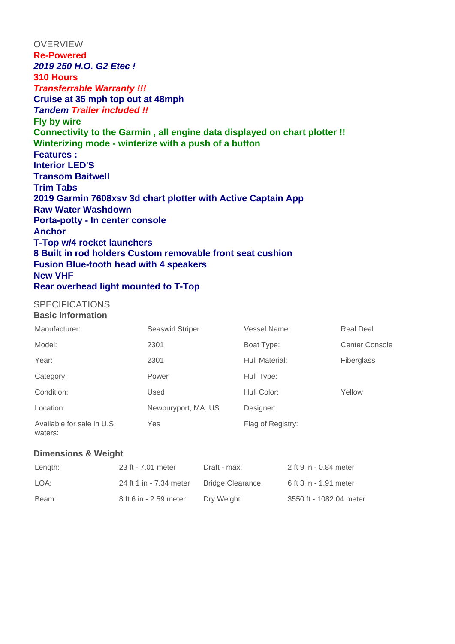**OVERVIEW Re-Powered 2019 250 H.O. G2 Etec ! 310 Hours Transferrable Warranty !!! Cruise at 35 mph top out at 48mph Tandem Trailer included !! Fly by wire Connectivity to the Garmin , all engine data displayed on chart plotter !! Winterizing mode - winterize with a push of a button Features : Interior LED'S Transom Baitwell Trim Tabs 2019 Garmin 7608xsv 3d chart plotter with Active Captain App Raw Water Washdown Porta-potty - In center console Anchor T-Top w/4 rocket launchers 8 Built in rod holders Custom removable front seat cushion Fusion Blue-tooth head with 4 speakers New VHF Rear overhead light mounted to T-Top** 

## **SPECIFICATIONS**

**Basic Information**

| Manufacturer:                         | <b>Seaswirl Striper</b> | Vessel Name:      | <b>Real Deal</b> |
|---------------------------------------|-------------------------|-------------------|------------------|
| Model:                                | 2301                    | Boat Type:        | Center Console   |
| Year:                                 | 2301                    | Hull Material:    | Fiberglass       |
| Category:                             | Power                   | Hull Type:        |                  |
| Condition:                            | Used                    | Hull Color:       | Yellow           |
| Location:                             | Newburyport, MA, US     | Designer:         |                  |
| Available for sale in U.S.<br>waters: | Yes                     | Flag of Registry: |                  |

#### **Dimensions & Weight**

| Length: | 23 ft - 7.01 meter      | Draft - max:      | 2 ft 9 in - 0.84 meter  |
|---------|-------------------------|-------------------|-------------------------|
| LOA:    | 24 ft 1 in - 7.34 meter | Bridge Clearance: | 6 ft 3 in - 1.91 meter  |
| Beam:   | 8 ft 6 in - 2.59 meter  | Dry Weight:       | 3550 ft - 1082.04 meter |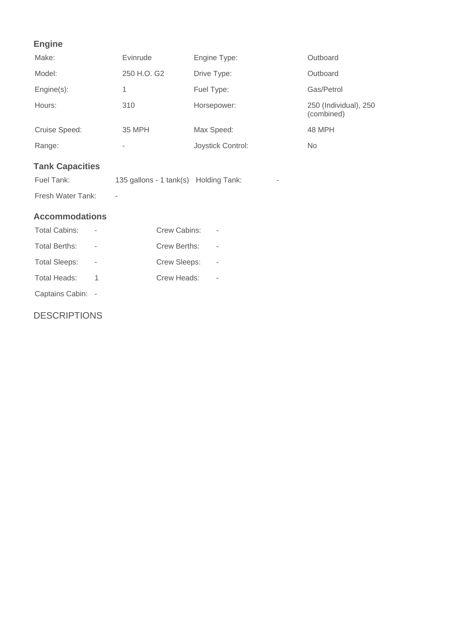## **Engine**

| Make:                  | Evinrude                              | Engine Type:      | Outboard                            |
|------------------------|---------------------------------------|-------------------|-------------------------------------|
| Model:                 | 250 H.O. G2                           | Drive Type:       | Outboard                            |
| Engine(s):             | 1                                     | Fuel Type:        | Gas/Petrol                          |
| Hours:                 | 310                                   | Horsepower:       | 250 (Individual), 250<br>(combined) |
| Cruise Speed:          | 35 MPH                                | Max Speed:        | 48 MPH                              |
| Range:                 | -                                     | Joystick Control: | <b>No</b>                           |
| <b>Tank Capacities</b> |                                       |                   |                                     |
| Fuel Tank:             | 135 gallons - 1 tank(s) Holding Tank: | -                 |                                     |
| Fresh Water Tank:      |                                       |                   |                                     |

### **Accommodations**

| Total Cabins:   | Crew Cabins: |  |
|-----------------|--------------|--|
| Total Berths:   | Crew Berths: |  |
| Total Sleeps:   | Crew Sleeps: |  |
| Total Heads:    | Crew Heads:  |  |
| Captains Cabin: |              |  |

**DESCRIPTIONS**